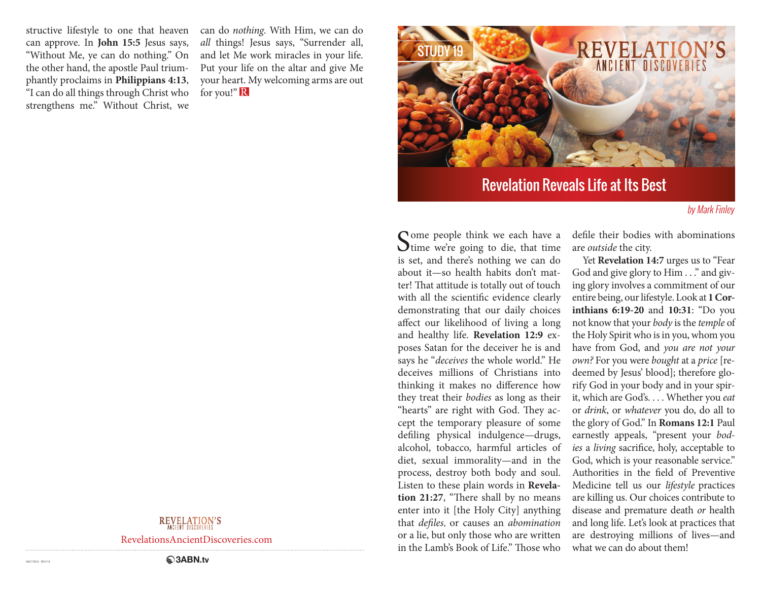structive lifestyle to one that heaven can approve. In **John 15:5** Jesus says, "Without Me, ye can do nothing." On the other hand, the apostle Paul triumphantly proclaims in **Philippians 4:13**, "I can do all things through Christ who strengthens me." Without Christ, we

can do *nothing*. With Him, we can do *all* things! Jesus says, "Surrender all, and let Me work miracles in your life. Put your life on the altar and give Me your heart. My welcoming arms are out for you!" R



# Revelation Reveals Life at Its Best

#### by Mark Finley

Some people think we each have a line we're going to die, that time is set, and there's nothing we can do about it—so health habits don't matter! That attitude is totally out of touch with all the scientific evidence clearly demonstrating that our daily choices affect our likelihood of living a long and healthy life. **Revelation 12:9** exposes Satan for the deceiver he is and says he "*deceives* the whole world." He deceives millions of Christians into thinking it makes no difference how they treat their *bodies* as long as their "hearts" are right with God. They accept the temporary pleasure of some defiling physical indulgence—drugs, alcohol, tobacco, harmful articles of diet, sexual immorality—and in the process, destroy both body and soul. Listen to these plain words in **Revelation 21:27**, "There shall by no means enter into it [the Holy City] anything that *defiles*, or causes an *abomination* or a lie, but only those who are written in the Lamb's Book of Life." Those who

defile their bodies with abominations are *outside* the city.

Yet **Revelation 14:7** urges us to "Fear God and give glory to Him . . ." and giving glory involves a commitment of our entire being, our lifestyle. Look at **1 Corinthians 6:19-20** and **10:31**: "Do you not know that your *body* is the *temple* of the Holy Spirit who is in you, whom you have from God, and *you are not your own?* For you were *bought* at a *price* [redeemed by Jesus' blood]; therefore glorify God in your body and in your spirit, which are God's. . . . Whether you *eat* or *drink*, or *whatever* you do, do all to the glory of God." In **Romans 12:1** Paul earnestly appeals, "present your *bodies* a *living* sacrifice, holy, acceptable to God, which is your reasonable service." Authorities in the field of Preventive Medicine tell us our *lifestyle* practices are killing us. Our choices contribute to disease and premature death *or* health and long life. Let's look at practices that are destroying millions of lives—and what we can do about them!

## **REVELATION'S**

RevelationsAncientDiscoveries.com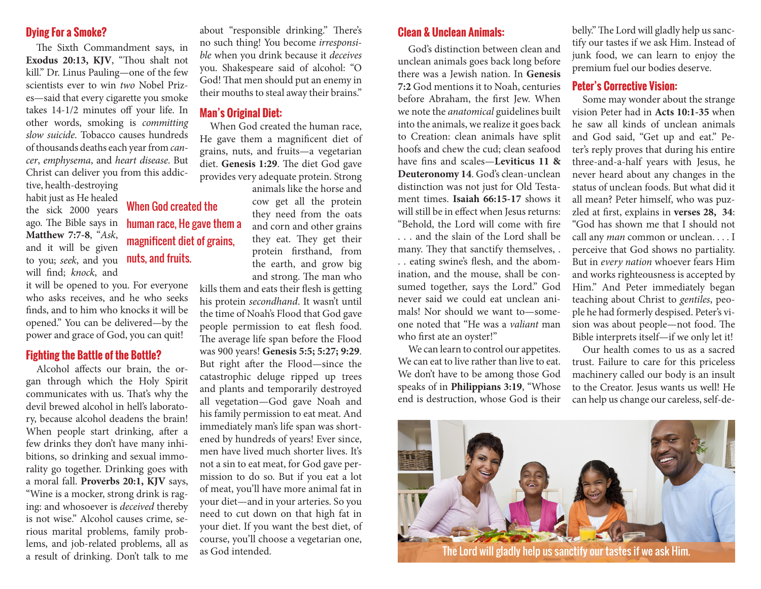### **Dying For a Smoke?**

The Sixth Commandment says, in **Exodus 20:13, KJV**, "Thou shalt not kill." Dr. Linus Pauling—one of the few scientists ever to win *two* Nobel Prizes—said that every cigarette you smoke takes 14-1/2 minutes off your life. In other words, smoking is *committing slow suicide*. Tobacco causes hundreds of thousands deaths each year from *cancer*, *emphysema*, and *heart disease*. But Christ can deliver you from this addic-

When God created the

human race, He gave them a magnificent diet of grains,

tive, health-destroying habit just as He healed the sick 2000 years ago. The Bible says in **Matthew 7:7-8**, "*Ask*, and it will be given to you; *seek*, and you **nuts, and fruits.** will find; *knock*, and

it will be opened to you. For everyone who asks receives, and he who seeks finds, and to him who knocks it will be opened." You can be delivered—by the power and grace of God, you can quit!

#### **Fighting the Battle of the Bottle?**

Alcohol affects our brain, the organ through which the Holy Spirit communicates with us. That's why the devil brewed alcohol in hell's laboratory, because alcohol deadens the brain! When people start drinking, after a few drinks they don't have many inhibitions, so drinking and sexual immorality go together. Drinking goes with a moral fall. **Proverbs 20:1, KJV** says, "Wine is a mocker, strong drink is raging: and whosoever is *deceived* thereby is not wise." Alcohol causes crime, serious marital problems, family problems, and job-related problems, all as a result of drinking. Don't talk to me about "responsible drinking." There's no such thing! You become *irresponsible* when you drink because it *deceives*  you. Shakespeare said of alcohol: "O God! That men should put an enemy in their mouths to steal away their brains."

#### **Man's Original Diet:**

When God created the human race, He gave them a magnificent diet of grains, nuts, and fruits—a vegetarian diet. **Genesis 1:29**. The diet God gave provides very adequate protein. Strong

> animals like the horse and cow get all the protein they need from the oats and corn and other grains they eat. They get their protein firsthand, from the earth, and grow big and strong. The man who

kills them and eats their flesh is getting his protein *secondhand*. It wasn't until the time of Noah's Flood that God gave people permission to eat flesh food. The average life span before the Flood was 900 years! **Genesis 5:5; 5:27; 9:29**. But right after the Flood—since the catastrophic deluge ripped up trees and plants and temporarily destroyed all vegetation—God gave Noah and his family permission to eat meat. And immediately man's life span was shortened by hundreds of years! Ever since, men have lived much shorter lives. It's not a sin to eat meat, for God gave permission to do so. But if you eat a lot of meat, you'll have more animal fat in your diet—and in your arteries. So you need to cut down on that high fat in your diet. If you want the best diet, of course, you'll choose a vegetarian one, as God intended.

### **Clean & Unclean Animals:**

God's distinction between clean and unclean animals goes back long before there was a Jewish nation. In **Genesis 7:2** God mentions it to Noah, centuries before Abraham, the first Jew. When we note the *anatomical* guidelines built into the animals, we realize it goes back to Creation: clean animals have split hoofs and chew the cud; clean seafood have fins and scales—**Leviticus 11 & Deuteronomy 14**. God's clean-unclean distinction was not just for Old Testament times. **Isaiah 66:15-17** shows it will still be in effect when Jesus returns: "Behold, the Lord will come with fire . . . and the slain of the Lord shall be many. They that sanctify themselves, . . . eating swine's flesh, and the abomination, and the mouse, shall be consumed together, says the Lord." God never said we could eat unclean animals! Nor should we want to—someone noted that "He was a *valiant* man who first ate an oyster!"

We can learn to control our appetites. We can eat to live rather than live to eat. We don't have to be among those God speaks of in **Philippians 3:19**, "Whose end is destruction, whose God is their belly." The Lord will gladly help us sanctify our tastes if we ask Him. Instead of junk food, we can learn to enjoy the premium fuel our bodies deserve.

## **Peter's Corrective Vision:**

Some may wonder about the strange vision Peter had in **Acts 10:1-35** when he saw all kinds of unclean animals and God said, "Get up and eat." Peter's reply proves that during his entire three-and-a-half years with Jesus, he never heard about any changes in the status of unclean foods. But what did it all mean? Peter himself, who was puzzled at first, explains in **verses 28, 34**: "God has shown me that I should not call any *man* common or unclean. . . . I perceive that God shows no partiality. But in *every nation* whoever fears Him and works righteousness is accepted by Him." And Peter immediately began teaching about Christ to *gentiles*, people he had formerly despised. Peter's vision was about people—not food. The Bible interprets itself—if we only let it!

Our health comes to us as a sacred trust. Failure to care for this priceless machinery called our body is an insult to the Creator. Jesus wants us well! He can help us change our careless, self-de-